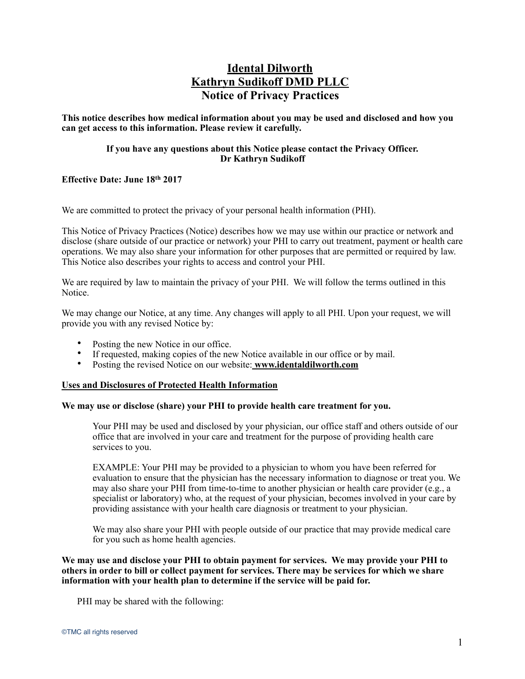# **Idental Dilworth Kathryn Sudikoff DMD PLLC Notice of Privacy Practices**

**This notice describes how medical information about you may be used and disclosed and how you can get access to this information. Please review it carefully.** 

# **If you have any questions about this Notice please contact the Privacy Officer. Dr Kathryn Sudikoff**

# **Effective Date: June 18th 2017**

We are committed to protect the privacy of your personal health information (PHI).

This Notice of Privacy Practices (Notice) describes how we may use within our practice or network and disclose (share outside of our practice or network) your PHI to carry out treatment, payment or health care operations. We may also share your information for other purposes that are permitted or required by law. This Notice also describes your rights to access and control your PHI.

We are required by law to maintain the privacy of your PHI. We will follow the terms outlined in this Notice.

We may change our Notice, at any time. Any changes will apply to all PHI. Upon your request, we will provide you with any revised Notice by:

- Posting the new Notice in our office.
- If requested, making copies of the new Notice available in our office or by mail.
- Posting the revised Notice on our website: **www.identaldilworth.com**

#### **Uses and Disclosures of Protected Health Information**

## **We may use or disclose (share) your PHI to provide health care treatment for you.**

Your PHI may be used and disclosed by your physician, our office staff and others outside of our office that are involved in your care and treatment for the purpose of providing health care services to you.

EXAMPLE: Your PHI may be provided to a physician to whom you have been referred for evaluation to ensure that the physician has the necessary information to diagnose or treat you. We may also share your PHI from time-to-time to another physician or health care provider (e.g., a specialist or laboratory) who, at the request of your physician, becomes involved in your care by providing assistance with your health care diagnosis or treatment to your physician.

We may also share your PHI with people outside of our practice that may provide medical care for you such as home health agencies.

**We may use and disclose your PHI to obtain payment for services. We may provide your PHI to others in order to bill or collect payment for services. There may be services for which we share information with your health plan to determine if the service will be paid for.** 

PHI may be shared with the following: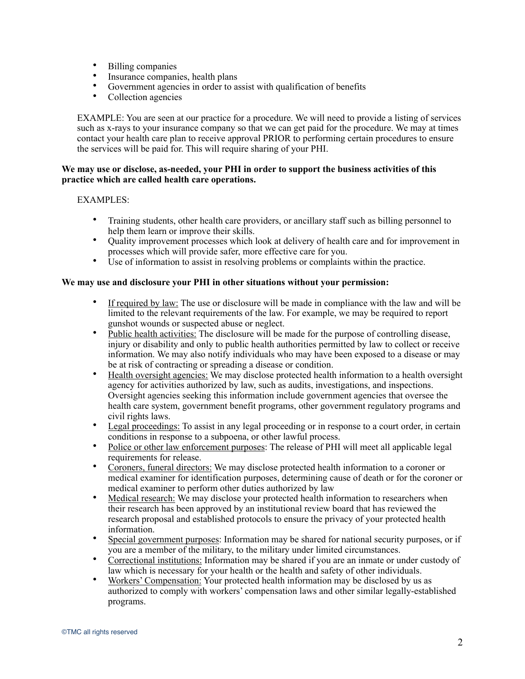- Billing companies
- Insurance companies, health plans
- Government agencies in order to assist with qualification of benefits<br>• Collection agencies
- Collection agencies

EXAMPLE: You are seen at our practice for a procedure. We will need to provide a listing of services such as x-rays to your insurance company so that we can get paid for the procedure. We may at times contact your health care plan to receive approval PRIOR to performing certain procedures to ensure the services will be paid for. This will require sharing of your PHI.

## **We may use or disclose, as-needed, your PHI in order to support the business activities of this practice which are called health care operations.**

# EXAMPLES:

- Training students, other health care providers, or ancillary staff such as billing personnel to help them learn or improve their skills.
- Quality improvement processes which look at delivery of health care and for improvement in processes which will provide safer, more effective care for you.
- Use of information to assist in resolving problems or complaints within the practice.

# **We may use and disclosure your PHI in other situations without your permission:**

- If required by law: The use or disclosure will be made in compliance with the law and will be limited to the relevant requirements of the law. For example, we may be required to report gunshot wounds or suspected abuse or neglect.
- Public health activities: The disclosure will be made for the purpose of controlling disease, injury or disability and only to public health authorities permitted by law to collect or receive information. We may also notify individuals who may have been exposed to a disease or may be at risk of contracting or spreading a disease or condition.
- Health oversight agencies: We may disclose protected health information to a health oversight agency for activities authorized by law, such as audits, investigations, and inspections. Oversight agencies seeking this information include government agencies that oversee the health care system, government benefit programs, other government regulatory programs and civil rights laws.
- Legal proceedings: To assist in any legal proceeding or in response to a court order, in certain conditions in response to a subpoena, or other lawful process.
- Police or other law enforcement purposes: The release of PHI will meet all applicable legal requirements for release.
- Coroners, funeral directors: We may disclose protected health information to a coroner or medical examiner for identification purposes, determining cause of death or for the coroner or medical examiner to perform other duties authorized by law
- Medical research: We may disclose your protected health information to researchers when their research has been approved by an institutional review board that has reviewed the research proposal and established protocols to ensure the privacy of your protected health information.
- Special government purposes: Information may be shared for national security purposes, or if you are a member of the military, to the military under limited circumstances.
- Correctional institutions: Information may be shared if you are an inmate or under custody of law which is necessary for your health or the health and safety of other individuals.
- Workers' Compensation: Your protected health information may be disclosed by us as authorized to comply with workers' compensation laws and other similar legally-established programs.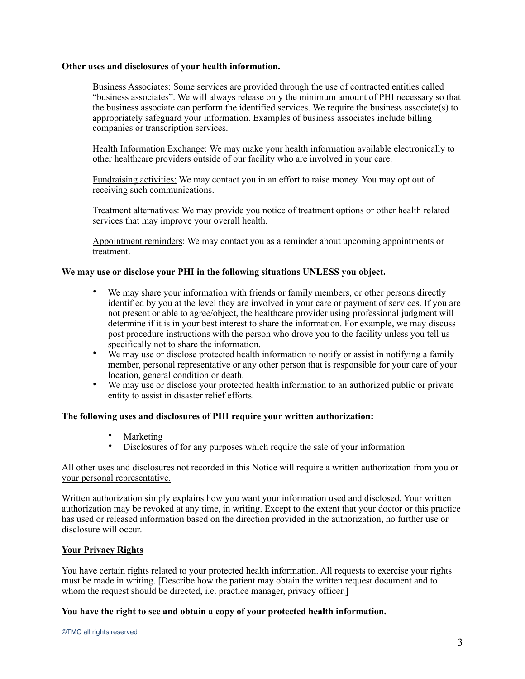## **Other uses and disclosures of your health information.**

Business Associates: Some services are provided through the use of contracted entities called "business associates". We will always release only the minimum amount of PHI necessary so that the business associate can perform the identified services. We require the business associate(s) to appropriately safeguard your information. Examples of business associates include billing companies or transcription services.

Health Information Exchange: We may make your health information available electronically to other healthcare providers outside of our facility who are involved in your care.

Fundraising activities: We may contact you in an effort to raise money. You may opt out of receiving such communications.

Treatment alternatives: We may provide you notice of treatment options or other health related services that may improve your overall health.

Appointment reminders: We may contact you as a reminder about upcoming appointments or treatment.

## **We may use or disclose your PHI in the following situations UNLESS you object.**

- We may share your information with friends or family members, or other persons directly identified by you at the level they are involved in your care or payment of services. If you are not present or able to agree/object, the healthcare provider using professional judgment will determine if it is in your best interest to share the information. For example, we may discuss post procedure instructions with the person who drove you to the facility unless you tell us specifically not to share the information.
- We may use or disclose protected health information to notify or assist in notifying a family member, personal representative or any other person that is responsible for your care of your location, general condition or death.
- We may use or disclose your protected health information to an authorized public or private entity to assist in disaster relief efforts.

#### **The following uses and disclosures of PHI require your written authorization:**

- Marketing<br>• Disclosures
- Disclosures of for any purposes which require the sale of your information

## All other uses and disclosures not recorded in this Notice will require a written authorization from you or your personal representative.

Written authorization simply explains how you want your information used and disclosed. Your written authorization may be revoked at any time, in writing. Except to the extent that your doctor or this practice has used or released information based on the direction provided in the authorization, no further use or disclosure will occur.

# **Your Privacy Rights**

You have certain rights related to your protected health information. All requests to exercise your rights must be made in writing. [Describe how the patient may obtain the written request document and to whom the request should be directed, i.e. practice manager, privacy officer.

#### **You have the right to see and obtain a copy of your protected health information.**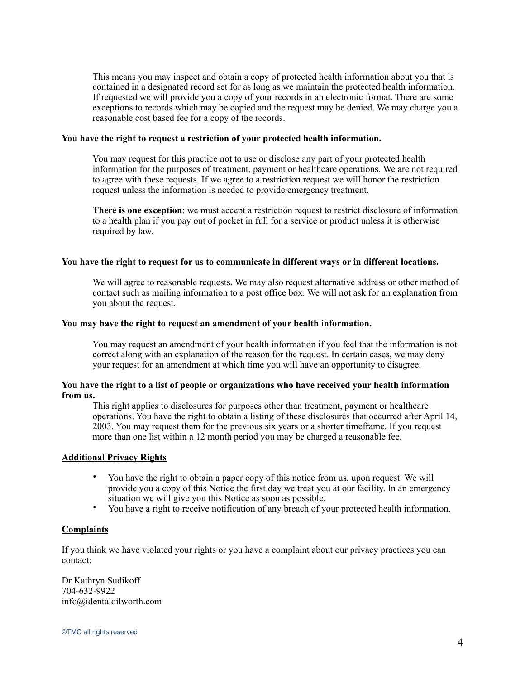This means you may inspect and obtain a copy of protected health information about you that is contained in a designated record set for as long as we maintain the protected health information. If requested we will provide you a copy of your records in an electronic format. There are some exceptions to records which may be copied and the request may be denied. We may charge you a reasonable cost based fee for a copy of the records.

#### **You have the right to request a restriction of your protected health information.**

You may request for this practice not to use or disclose any part of your protected health information for the purposes of treatment, payment or healthcare operations. We are not required to agree with these requests. If we agree to a restriction request we will honor the restriction request unless the information is needed to provide emergency treatment.

**There is one exception**: we must accept a restriction request to restrict disclosure of information to a health plan if you pay out of pocket in full for a service or product unless it is otherwise required by law.

#### **You have the right to request for us to communicate in different ways or in different locations.**

We will agree to reasonable requests. We may also request alternative address or other method of contact such as mailing information to a post office box. We will not ask for an explanation from you about the request.

#### **You may have the right to request an amendment of your health information.**

You may request an amendment of your health information if you feel that the information is not correct along with an explanation of the reason for the request. In certain cases, we may deny your request for an amendment at which time you will have an opportunity to disagree.

## **You have the right to a list of people or organizations who have received your health information from us.**

This right applies to disclosures for purposes other than treatment, payment or healthcare operations. You have the right to obtain a listing of these disclosures that occurred after April 14, 2003. You may request them for the previous six years or a shorter timeframe. If you request more than one list within a 12 month period you may be charged a reasonable fee.

#### **Additional Privacy Rights**

- You have the right to obtain a paper copy of this notice from us, upon request. We will provide you a copy of this Notice the first day we treat you at our facility. In an emergency situation we will give you this Notice as soon as possible.
- You have a right to receive notification of any breach of your protected health information.

## **Complaints**

If you think we have violated your rights or you have a complaint about our privacy practices you can contact:

Dr Kathryn Sudikoff 704-632-9922 info@identaldilworth.com